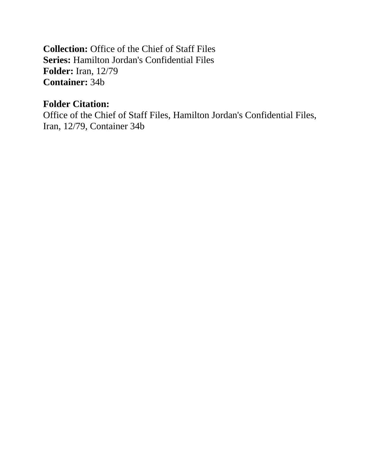**Collection:** Office of the Chief of Staff Files **Series:** Hamilton Jordan's Confidential Files **Folder:** Iran, 12/79 **Container:** 34b

# **Folder Citation:**

Office of the Chief of Staff Files, Hamilton Jordan's Confidential Files, Iran, 12/79, Container 34b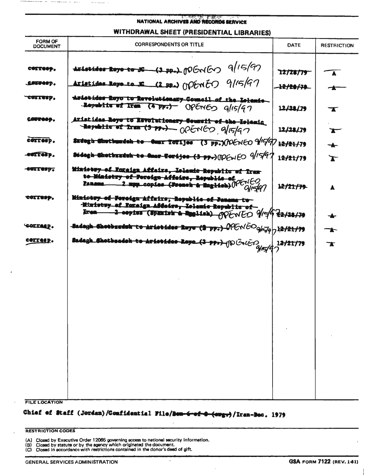#### **STATISTIC POINT EPISO NATIONAL ARCHIVES AND RECORDS SERVICE**

### WITHDRAWAL SHEET (PRESIDENTIAL LIBRARIES)

| <b>FORM OF</b><br><b>DOCUMENT</b> | <b>CORRESPONDENTS OR TITLE</b>                                                                                                                                      | <b>DATE</b>                     | <b>RESTRICTION</b>      |
|-----------------------------------|---------------------------------------------------------------------------------------------------------------------------------------------------------------------|---------------------------------|-------------------------|
| COZZESO.<br><u>.cotverp.</u>      | Aristides Royo to JC (3 pp.) potovitos 9/15/97<br>Aristides Roys to $E(2, pp.)$ (NEWE) $9/15/9$                                                                     | 12/28/79<br><del>12/28/79</del> | $\blacktriangle$<br>╼▅╼ |
| "COZIUSP.                         | Aristides Ruyu tu Revolutionary Council of the Islanic<br>Republic of Iran (4 PP.) OPENED g/15/97                                                                   | 12/28/79                        | $\mathbf{\tau}$         |
| corresp.                          | Aristidas Royo to Kevolutionary Council of the Islamic<br><b>Republic of tres (3 PP)</b> OPENED 9/15/97                                                             | 12/28/79                        | $\mathbf{r}$            |
| cerresp.                          | Sudugh Chuthundeh to Omar TOFijes (3 pp.) COGNEO 9/1497                                                                                                             | 12/21/79                        | ╼┻╾                     |
| -toffebp.                         | Sidegh Chotbszdah to Omar Forijos (3 pp.) (IDE.IEO 9/15/97                                                                                                          | 12/21/79                        | $\mathbf{r}$            |
| curt la pa                        | Ministey-of Foraign Affairs, Islands Republic of Iran<br>to Ministry of Foreign Affeirs, Republic of Ministry of Foreign Affeirs, Republic of $\frac{1}{Q}$         | 12/21/79                        | A                       |
| COLLESS.<br><b>SOCIALD.</b>       | Ministey of Foreign Affuirs, Republic of Janang to<br>Ninistwy of Foreign Affeirs, Lolenie Republic of-<br>Eren 2-ceptes (Spanish & English) opporto 9/144 x2/28/79 |                                 | ╼┻╾                     |
|                                   | -Badegh Chotbsatsk to Aristides Roye (2 pp.) $0$ $\mathcal{C} \cap \{ \bar{c} \cap q   q \}$ ) $2/21/79$                                                            |                                 | ┱                       |
| cerresp.                          | Sadagh Shotbsadeh to Ariotides Reya (2-ppr)-(following 12/21/79                                                                                                     |                                 | $\mathbf{\tau}$         |

FILE LOCATION

# Chief of Staff (Jordan)/Confidential File/Bon-6-of-8-(oug.)/Iran-Bec. 1979

 $\ddot{\phantom{0}}$ 

#### **RESTRICTION CODES**

(A) Closed by Executive Order 12065 governing access to national security information.<br>(B) Closed by statute or by the agency which originated the document.<br>(C) Closed in accordance with restrictions contained in the donor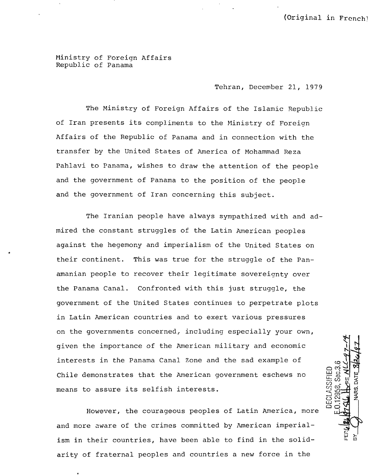(Original in French)

Ministry of Foreign Affairs Republic of Panama

..

Tehran, December 21, 1979

The Ministry of Foreign Affairs of the Islamic Republic of Iran presents its compliments to the Hinistry of Foreign Affairs of the Republic of Panama and in connection with the transfer by the United States of America of Mohammad Reza Pahlavi to Panama, wishes to draw the attention of the people and the government of Panama to the position of the people and the government of Iran concerning this subject.

The Iranian people have always sympathized with and admired the constant struggles of the Latin American peoples against the hegemony and imperialism of the united States on their continent. This was true for the struggle of the Panamanian people to recover their legitimate sovereignty over the Panama Canal. Confronted with this just struggle, the government of the United States continues to perpetrate plots in Latin American countries and to exert various pressures on the governments concerned, including especially your own, given the importance of the American military and economic interests in the Panama Canal Zone and the sad example of Chile demonstrates that the American government eschews no means to assure its selfish interests.

However, the courageous peoples of Latin America, more and more aware of the crimes committed by American imperialism in their countries, have been able to find in the solidarity of fraternal peoples and countries a new force in the

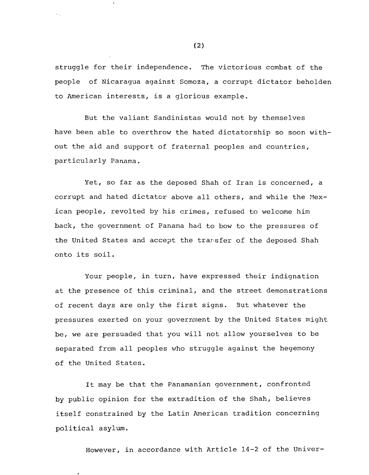struggle for their independence. The victorious combat of the people of Nicaragua against Somoza, a corrupt dictator beholden to American interests, is a glorious example.

But the valiant Sandinistas would not by themselves have been able to overthrow the hated dictatorship so soon without the aid and support of fraternal peoples and countries, particularly Panama.

Yet, so far as the deposed Shah of Iran is concerned, a corrupt and hated dictator above all others, and while the Mexican people, revolted by his crimes, refused to welcome him back, the government of Panama had to bow to the pressures of the United States and accept the transfer of the deposed Shah onto its soil .

Your people, in turn, have expressed their indignation at the presence of this criminal, and the street demonstrations of recent days are only the first signs. But whatever the pressures exerted on your government by the United States might be, we are persuaded that you will not allow yourselves to be separated from all peoples who struggle against the hegemony of the United States.

It may be that the Panamanian government, confronted by public opinion for the extradition of the Shah, believes itself constrained by the Latin American tradition concerning political asylum.

However, in accordance with Article 14-2 of the Univer-

(2)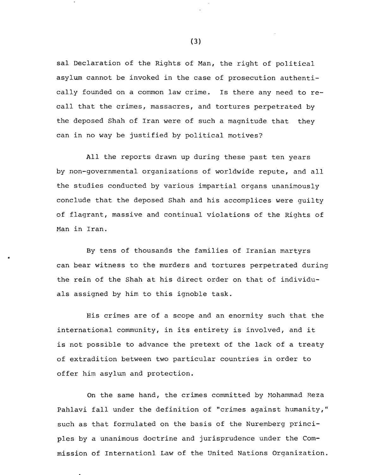sal Declaration of the Rights of Man, the right of political asylum cannot be invoked in the case of prosecution authentically founded on a common law crime. Is there any need to recall that the crimes, massacres, and tortures perpetrated by the deposed Shah of Iran were of such a magnitude that they can in no way be justified by political motives?

All the reports drawn up during these past ten years by non-governmental organizations of worldwide repute, and all the studies conducted by various impartial organs unanimously conclude that the deposed Shah and his accomplices were guilty of flagrant, massive and continual violations of the Rights of Man in Iran.

By tens of thousands the families of Iranian martyrs can bear witness to the murders and tortures perpetrated during the rein of the Shah at his direct order on that of individuals assigned by him to this ignoble task.

His crimes are of a scope and an enormity such that the international community, in its entirety is involved, and it is not possible to advance the pretext of the lack of a treaty of extradition between two particular countries in order to offer him asylum and protection.

On the same hand, the crimes committed by Mohammad Reza Pahlavi fall under the definition of "crimes against humanity," such as that formulated on the basis of the Nuremberg principles by a unanimous doctrine and jurisprudence under the Commission of Internationl Law of the United Nations Organization.

(3)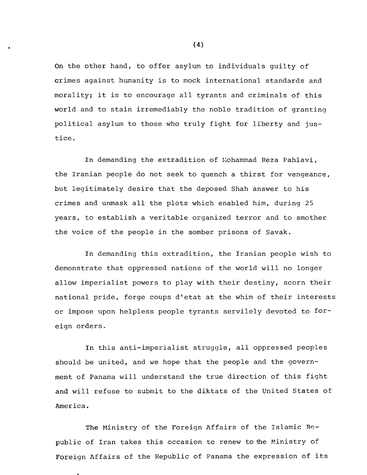On the other hand, to offer asylum to individuals guilty of crimes against humanity is to mock international standards and morality; it is to encourage all tyrants and criminals of this world and to stain irremediably the noble tradition of granting political asylum to those who truly fight for liberty and justice.

In demanding the extradition of Lohammad Reza Pahlavi, the Iranian people do not seek to quench a thirst for vengeance, but legitimately desire that the deposed Shah answer to his crimes and unmask all the plots which enabled him, during 25 years, to establish a veritable organized terror and to smother the voice of the people in the somber prisons of Savak.

In demanding this extradition, the Iranian people wish to demonstrate that oppressed nations of the world will no longer allow imperialist powers to play with their destiny, scorn their national pride, forge coups d'etat at the whim of their interests or impose upon helpless people tyrants servilely devoted to foreign orders.

In this anti-imperialist struggle, all oppressed peoples should be united, and we hope that the people and the government of Panama will understand the true direction of this fight and will refuse to submit to the diktats of the united States of America.

The Ministry of the Foreign Affairs of the Islamic Republic of Iran takes this occasion to renew to the Ministry of Foreign Affairs of the Republic of Panama the expression of its

(4)

 $\pmb{\epsilon}$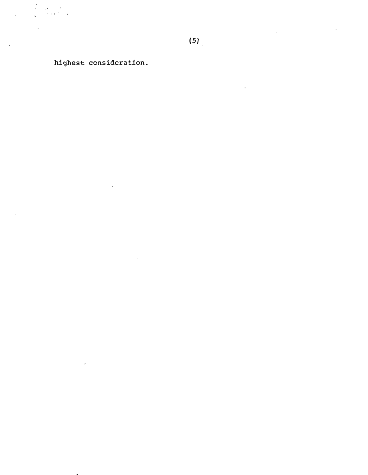highest consideration.

 $\frac{1}{k} = \frac{1}{k}$ 

 $\overline{a}$ 

 $\sim 10^{-1}$ 

 $\ddot{\phantom{0}}$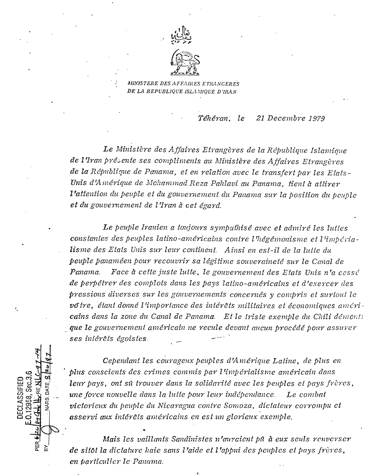

MINISTERE DES AFFAIRES ETRANGERES DE LA REPUBLIQUE ISLAMIQUE D'IRAN

> Téhéran, le 21 Decembre 1979

Le Ministère des Affaires Etrangères de la République Islamique de l'Iran présente ses compliments au Ministère des Affaires Etrangères de la République de Panama, et en relation avec le transfert par les Etats-Unis d'Amérique de Mohammad Reza Pahlavi au Panama, tient à attirer l'attention du peuple et du gouvernement du Panama sur la position du peuple et du gouvernement de l'Iran à cet égard.

Le peuple Iranien a toujours sympathisé avec et admiré les luttes constantes des peuples latino-américains contre l'hégémonisme et l'impérialisme des Etats Unis sur leur continent. Ainsi en est-il de la lutte du peuple panaméen pour recouvrir sa légitime souveraineté sur le Canal de Face à cette juste luite, le gouvernement des Etats Unis n'a cessé Panama. de perpétrer des complots dans les pays latino-américains et d'exercer des pressions diverses sur les gouvernements concernés y compris et surtout le votre, étant donné l'importance des intérêts militaires et économiques américains dans la zone du Canal de Panama. Et le triste exemple du Chili démontr que le gouvernement américain ne recule devant aucun procédé pour assurer ses intérêts égoistes.

Cependant les courageux peuples d'Amérique Latine, de plus en plus conscients des crimes commis par l'impérialisme américain dans leur pays, ont su trouver dans la solidarité avec les peuples et pays frères, une force nouvelle dans la luite pour leur indépendance. Le combat victorieux du peuple du Nicaragua contre Somoza, dictateur corrompu et asservi aux intérêts américains en est un glorieux exemple.

Sec.3.

PER<sub>.</sub>

**CLASSIFIED** 

Mais les vaillants Sandinistes n'auraient pû à eux seuls renverser de sitôt la dictature haie sans l'aide et l'appui des peuples et pays frères, en particulier le Panama.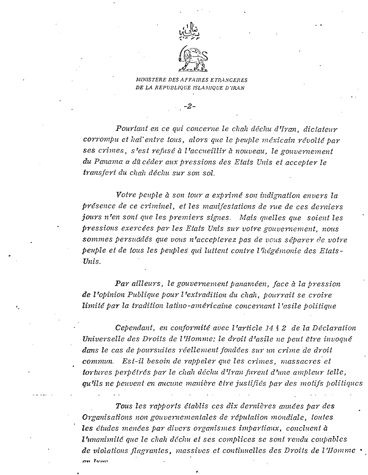



*MINISTERE DES AFFAIRES ETRANCERES DE LA REPUBLIQUE ISLAMIQUE D'IRAN* 

-2-

*Pourlant en ce qui concerne le chalt dechu d'Iran, dictateur corrompu et Itai' entre tous, alors que lepeuple mexicain reuolte par ses crimes, s 'est refuse a <sup>1</sup>'accueillir a nouveau, le gouuernement du Panama a da ceder aux pressions des Etats Unis et accepter le transfert du chalz decliu sur son sol.*

*Vot're peuple a son tour a exp rime son indignation envers la presence de ce criminel , et les manifestations de rue de ces deriders jOU1'S n 'en sont que les premiers signes. Mais quelles que scient les pressions exerc ees par les Etats Unis sur votre gouuernement, nous* sommes persuddés que vous n'accepierez pas de vous séparer de votre *peuple et de tous les peuples qui luttent contre L'lieg emonie des Etats-Unis.*

*Par ailleurs , le gouuernement panameen, face a la pression de 1'opinion Publique pour 1'extradition du chah, pour rait se croire limite par la tradition latino-americaine concernant l.'asile politique.*

*Cependant , en conformite avec 1'article* 14 § 2 *de la Declaration Uniuerselle des Droits de 1'Homme; le droit d'asile ne peut etre inuoque dans le cas de poursuiles reellement fondees SZl1' un crime de droit commun. Est-il besoin de rappeler que les crimes, mass acres et tortures perp etres par le chalt decliu d'Iran fureni d rune ainpleur telle, qu'ils ne peuoent en aucune maniere etre justifies par des motifs politiqucs*

*Tous les rapports etablis ces nix dernieres annees par des Organisations non gonuerncmentalcs de reputation mondiale , toutcs les eludes menccs par diners organismes impartiaux, conclucnt a l 'unanimitd que lc cliali dccliu et ses complices se sont rendu coupobles de violations fl.agranles , massiucs et continucllcs des Draits de I 'Ilomme •* nn Trom

t'.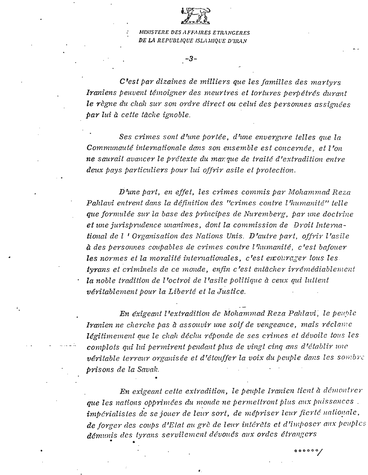

MINISTERE DES AFFAIRES ETRANGERES DE LA REPUBLIQUE ISLAMIQUE D'IRAN

 $-3-$ 

C'est par dizaines de milliers que les familles des martyrs Iraniens peuvent témoigner des meurtres et tortures perpétrés durant le règne du chah sur son ordre direct ou celui des personnes assignées par lui à cette tâche ignoble.

Ses crimes sont d'une portée, d'une envergure telles que la Communauté internationale dans son ensemble est concernée, et l'on ne saurait avancer le prétexte du marque de traité d'extradition entre deux pays particuliers pour lui offrir asile et protection.

D'une part, en effet, les crimes commis par Mohammad Reza Pahlavi entrent dans la définition des "crimes contre l'humanité" telle que formulée sur la base des principes de Nuremberg, par une doctrine et une jurisprudence unanimes, dont la commission de Droit International de l'Organisation des Nations Unis. D'autre part, offrir l'asile  $\hat{a}$  des personnes coupables de crimes contre l'humanité, c'est bafouer les normes et la moralité internationales, c'est encourager tous les tyrans et criminels de ce monde, enfin c'est entâcher irrémédiablement la noble tradition de l'octroi de l'asile politique à ceux qui luttent véritablement pour la Liberté et la Justice.

En éxigeant l'extradition de Mohammad Reza Pahlavi, le peuple Iranien ne cherche pas à assouvir une soif de vengeance, mais réclame légitimement que le chah déchu réponde de ses crimes et dévoile tous les complots qui lui permirent pendant plus de vingt cinq ans d'établir une véritable terreur organisée et d'étouffer la voix du peuple dans les sombre prisons de la Savak.

En exigeant cette extradition, le peuple Iranien tient à démontrer que les nations opprimées du monde ne permellront plus aux puissances. impérialistes de se jouer de leur sort, de mépriser leur fierté nationale, de forger des coups d'Elat au grè de leur intérêts et d'imposer aux peuples démunis des tyrans servilement dévoués aux ordes étrangers

 $000000/$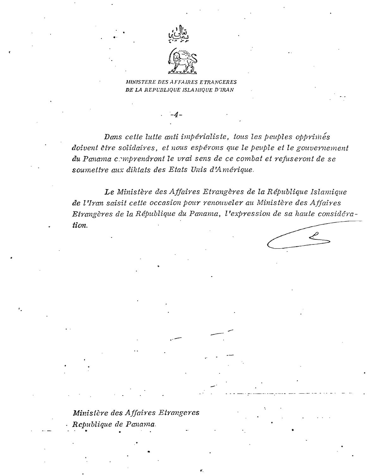

MINISTERE DES AFFAIRES ETRANGERES DE LA REPUBLIQUE ISLAMIQUE D'IRAN

Dans cette lutte anti impérialiste, tous les peuples opprimés doivent être solidaires, et nous espérons que le peuple et le gouvernement du Panama comprendront le vrai sens de ce combat et refuseront de se soumeltre aux diktats des Etats Unis d'Amérique.

Le Ministère des Affaires Etrangères de la République Islamique de l'Iran saisit cette occasion pour renouveler au Ministère des Affaires Etrangères de la République du Panama, l'expression de sa haute considération.

Ministère des Affaires Etrangeres Republique de Panama.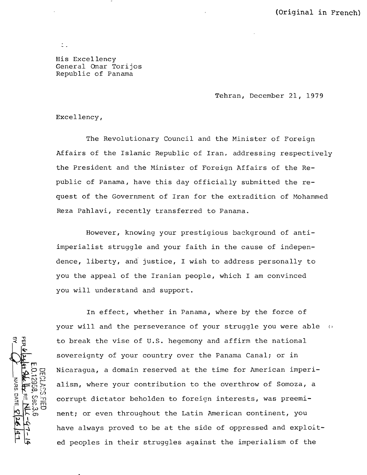His Excellency General Omar Torijos Republic of Panama

Tehran, December 21, 1979

Excellency,

 $\zeta$  .

The Revolutionary Council and the Minister of Foreign Affairs of the Islamic Republic of Iran, addressing respectively the President and the Minister of Foreign Affairs of the Republic of Panama, have this day officially submitted the request of the Government of Iran for the extradition of Mohammed Reza Pahlavi, recently transferred to Panama.

However, knowing your prestigious background of antiimperialist struggle and your faith in the cause of independence, liberty, and justice, I wish to address personally to you the appeal of the Iranian people, which I am convinced you will understand and support.

In effect, whether in Panama, where by the force of your will and the perseverance of your struggle you were able  $\phi$ to break the vise of U.S. hegemony and affirm the national sovereignty of your country over the Panama Canal; or in Nicaragua, a domain reserved at the time for American imperialism, where your contribution to the overthrow of Somoza, a corrupt dictator beholden to foreign interests, was preeminent; or even throughout the Latin American continent, you have always proved to be at the side of oppressed and exploit ed peoples in their struggles against the imperialism of the

m  $\vec{D}$ NARS. DATE 82  $\frac{1}{\alpha}$  $\mathbb{E}\, \mathbb{E}$ ~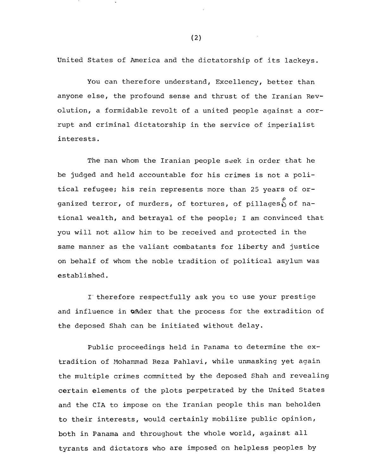United States of America and the dictatorship of its lackeys.

You can therefore understand, Excellency, better than anyone else, the profound sense and thrust of the Iranian Revolution, a formidable revolt of a united people against a corrupt and criminal dictatorship in the service of imperialist interests.

The *man* whom the Iranian people seek in order that he be judged and held accountable for his crimes is not a political refugee; his rein represents more than 25 years of organized terror, of murders, of tortures, of pillages $\int_{0}^{\rho}$  of national wealth, and betrayal of the people; I am convinced that you will not allow him to be received and protected in the same manner as the valiant combatants for liberty and justice on behalf of whom the noble tradition of political asylum was established.

I'therefore respectfully ask you to use your prestige and influence in ander that the process for the extradition of the deposed Shah can be initiated without delay.

Public proceedings held in Panama to determine the extradition of Mohammad Reza Pahlavi, while unmasking yet again the multiple crimes committed by the deposed Shah and revealing certain elements of the plots perpetrated by the United States and the CIA to impose on the Iranian people this man beholden to their interests, would certainly mobilize public opinion, both in Panama and throughout the whole world, against all tyrants and dictators who are imposed on helpless peoples by

(2)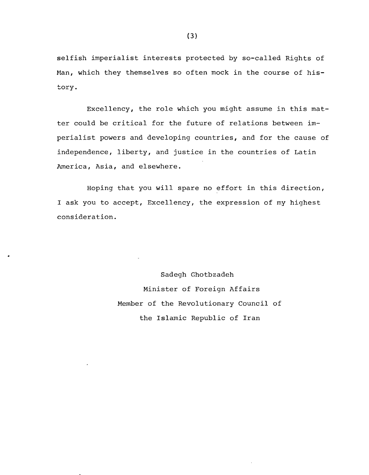selfish imperialist interests protected by so-called Rights of Man, which they themselves so often mock *in* the course of his tory.

Excellency, the role which you might assume in this matter could be critical for the future of relations between imperialist powers and developing countries, and for the cause of independence, liberty, and justice in the countries of Latin America, Asia, and elsewhere.

Hoping that you will spare no effort in this direction, I ask you to accept, Excellency, the expression of my highest consideration.

> Sadegh Ghotbzadeh Minister of Foreign Affairs Member of the Revolutionary Council of the Islamic Republic of Iran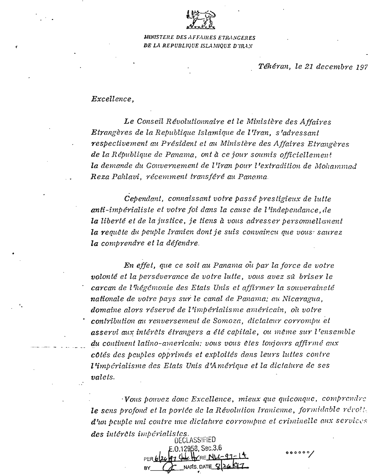

*M1N1STEIlE DES ,\FF,\/llES ETIV\NCERES DE !J\ REPUDLIQUE ISLA,\IIQUE D'1RAS*

*Teheran, le* 21 *decembre 197*

## *Excellence,*

r

•

*Le Conseil Reuoluiionnaire et le Ministere des Affaire s Eirangeres de la Republique Islamique de l 'Iran, s 'adres sant respectiuement catPresident et au Minis tere des AJJaires Etrangeres de la Republique de Panama, ont a ce jour soumis officiellement la demande du Gouuernement de l'Iran pour 1'extradition de Moltarnniad Reza Pahlaui, r ecemment transfere au Panama.*

*Cependant, connaissant volre passe p restigieux de lutte anti-imp erialiste et volre foi dans la cause de 1'independance , de la liberte et de la justice, je liens a VOllSadress er p ersonnellement la requete du peuple Iranien dont je suis conuaincu que VOltS:saurez la combrendre et La defendre .*

*En eifel, que ce soil au Panama oil par la force de volre uolonte et la perseverance de votre lutte , VOllSavez s11 briser le carcan de I 'hegcmonie des Etats Unis et affirrner la souuerainete naiionale de votre pays sur le canal de Panama: au Nicaragua, domaine alors reserve de L'imp erialisrne americain, ou volre . contribution all renuersement de Somoza, dictateur corrompu et asserui aux intereis etrangers a ete capitale, ou meme SUY I 'ensemble . \_.. du continent latino-m!zericain: VOltSVOltS etes toujours affir me aux cates des peuples opbrimes et exploitee dans leurs luties centre l 'imperialisme des Etats Unis d'Amerique et la diclature de ses valets.*

*.VOtlSpouuez done Excellence, mieux que quiconquc , cornp rcnd rc* **le sens profond et la portée de la Révolution Iranienne, formidable révolt.** *d'un pcuple uni contrc une dictature corroinpuc et criminelle aux s erulccs des inierets impiirialistcs.* DECLASSIFIED

oooooy

 $: 0.12958,$  Sec.3.6

 $NARS$  DATE  $Q$ 

PER 6126 PM STAKE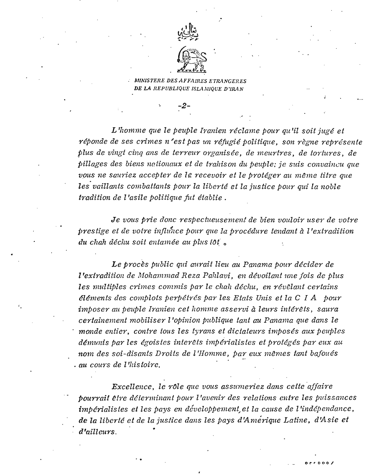

**INISTERE DES AFFAIRES ETRANGERES** DE LA REPUBLIQUE ISLAMIQUE D'IRAN

L'homme que le peuple Iranien réclame pour qu'il soit jugé et réponde de ses crimes n'est pas un réfugié politique, son règne représente plus de vingt cinq ans de terreur organisée, de meurtres, de tortures, de pillages des biens nationaux et de trahison du peuple; je suis convaincu que vous ne sauriez accepter de le recevoir et le protéger au même titre que les vaillants combattants pour la liberté et la justice pour qui la noble tradition de l'asile politique fut établie.

Je vous prie donc respectueusement de bien vouloir user de votre prestige et de votre influnce pour que la procédure tendant à l'extradition du chah déchu soit entamée au plus tôt.

Le procès public qui aurait lieu au Panama pour décider de l'extradition de Mohammad Reza Pahlavi, en dévoilant une fois de plus les multiples crimes commis par le chah déchu, en révêlant certains éléments des complots perpétrés par les Etats Unis et la C I A pour imposer au peuple Iranien cet homme asservi à leurs intérêts, saura certainement mobiliser l'opinion publique tant au Panama que dans le monde entier, contre tous les tyrans et dictateurs imposés aux peuples démunis par les égoistes interêts impérialistes et protégés par eux au nom des soi-disants Droits de l'Homme, par eux mêmes tant bafoués . au cours de l'histoire.

Excellence, le rôle que vous assumeriez dans cette affaire pourrait être déterminant pour l'avenir des relations entre les puissances impérialistes et les pays en développement et la cause de l'indépendance, de la liberté et de la justice dans les pays d'Amérique Latine, d'Asie et d'ailleurs.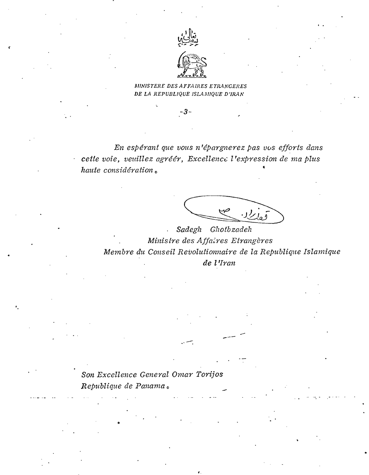

### MINISTERE DES AFFAIRES ETRANGERES DE LA REPUBLIQUE ISLAMIQUE D'IRAN

 $-3-$ 

En espérant que vous n'épargnerez pas vos efforts dans cette voie, veuillez agréér, Excellence l'expression de ma plus haute considération.

Sadegh Ghotbzadeh Ministre des Affaires Etrangères Membre du Conseil Revolutionnaire de la Republique Islamique de l'Iran

Son Excellence General Omar Torijos Republique de Panama.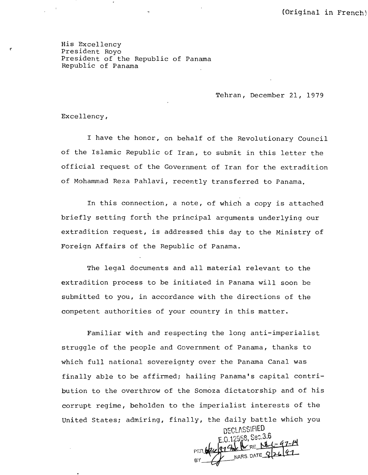His Excellency President Royo President of the Republic of Panama Republic of Panama

Tehran, December 21, 1979

Excellency,

r'

I have the honor, on behalf of the Revolutionary Council of the Islamic Republic of Iran, to submit in this letter the official request of the Government of Iran for the extradition of Mohammad Reza Pah1avi, recently transferred to Panama.

In this connection, a note, of which a copy is attached briefly setting forth the principal arguments underlying our extradition request, is addressed this day to the Ministry of Foreign Affairs of the Republic of Panama .

The legal documents and all material relevant to the extradition process to be initiated in Panama will soon be submitted to you, in accordance with the directions of the competent authorities of your country in this matter.

Familiar with and respecting the long anti-imperialist struggle of the people and Government of Panama, thanks to which full national sovereignty over the Panama Canal was finally able to be affirmed; hailing Panama's capital contribution to the overthrow of the Somoza dictatorship and of his corrupt regime, beholden to the imperialist interests of the united States; admiring, finally, the daily battle which you

**DECLASSIFIED** E.O.12958, Sec.3.6 p DECLASSIFIED<br>E.O.12958, Sec.3.6<br>PER DEL CALLINE NARS. DATE S/24 41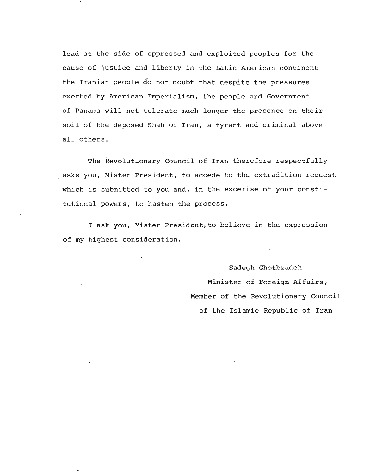lead at the side of oppressed and exploited peoples for the cause of justice and liberty in the Latin American continent the Iranian people do not doubt that despite the pressures exerted by American Imperialism, the people and Government of Panama will not tolerate much longer the presence on their soil of the deposed Shah of Iran, a tyrant and criminal above all others.

The Revolutionary Council of Iran therefore respectfully asks you, Mister President, to accede to the extradition request which is submitted to you and, in the excerise of your constitutional powers, to hasten the process.

I ask you, Mister President,to believe in the expression of my highest consideration .

 $\ddot{\cdot}$ 

Sadegh Ghotbzadeh Minister of Foreign Affairs, Member of the Revolutionary Council of the Islamic Republic of Iran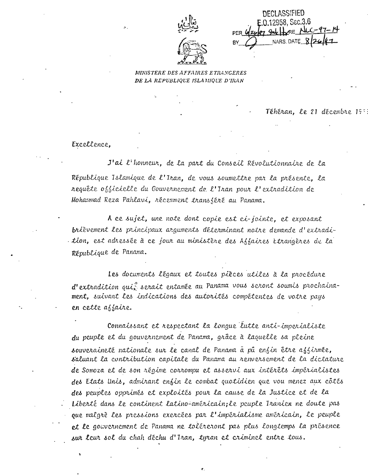

**DECLASSIFIED** 0.12958. Sec.3.6 ᇎᄮ NARS DATE

MINISTERE DES AFFAIRES ETRANGERES DE LA REPUBLIQUE ISLAMIQUE D'IRAN

Téhéran. Le 21 décembre 1978

Excellence.

J'ai l'honneur, de la part du Conseil Révolutionnaire de la République Islamique de l'Iran, de vous soumettre par la présente, la requête officielle du Gouvernement de l'Iran pour l'extradition de Mohammad Reza Pahlavi, récemment transféré au Panama.

A ce sujet, une note dont copie est ci-jointe, et exposant brièvement les principaux arguments déterminant notre demande d'extradition, est adressée à ce jour au ministère des Affaires Etrangères de la République de Panama.

Les documents légaux et toutes pièces utiles à la procédure d'extradition qui serait entamée au Panama vous seront soumis prochainament, suivant les indications des autorités compétentes de votre pays en cette affaire.

Connaissant et respectant la longue lutte anti-imperialiste du peuple et du gouvernement de Panama, grâce à laquelle sa pleine souveraineté nationale sur le canal de Panama à pû enfin être affirmée, s'aluant la contribution capitale du Panama au renversement de la dictature de Somoza et de son régime corrompu et asservi aux intérêts impérialistes des Etats Unis, admirant enfin le combat quotidien que vou menez aux côtés des peuples opprimés et exploités pour la cause de la Justice et de la Liberté dans le continent latino-américain; le peuple Iranien ne doute pas que malgrè les pressions exercées par l'impérialisme américain, le peuple et le gouvernement de Panama ne toléreront pas plus longtemps la présence sur leur sol du chah déchu d'Iran, tyran et criminel entre tous.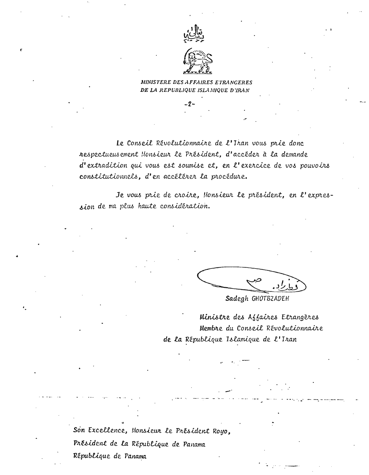

MINISTERE DES AFFAIRES ETRANGERES DE LA REPUBLIQUE ISLAMIQUE D'IRAN

 $-2-$ 

Le Conseil Révolutionnaire de l'Iran vous prie donc nespectueus ement Honsieur le Président, d'accéder à la demande d'extradition qui vous est soumise et, en l'exercice de vos pouvoirs constitutionnels, d'en accélérer la procédure.

Je vous prie de croire, Monsieur le président, en l'expression de ma plus haute considération.

Sadegh GHOTBZADEH

Ministre des Affaires Etrangères Membre du Conseil Révolutionnaire de la République Islamique de l'Iran

Son Excellence, Monsieur le Président Royo, Président de la République de Panama République de Panama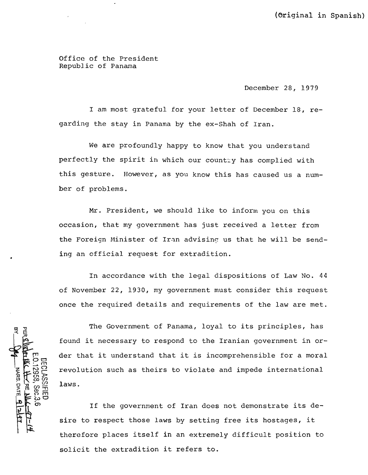(Original in Spanish)

Office of the President Republic of Panama

December 28, 1979

I am most grateful for your letter of December 18, regarding the stay in Panama by the eX-Shah of Iran.

We are profoundly happy to know that you understand perfectly the spirit in which our country has complied with this gesture. However, as you know this has caused us a number of problems.

Mr. President, we should like to inform you on this occasion, that my government has just received a letter from the Foreign Minister of Iran advising us that he will be sending an official request for extradition.

In accordance with the legal dispositions of Law No. 44 of November 22, 1930, my government must consider this request once the required details and requirements of the law are met.

NARS. DATE 9 2 , Sec.3.6<br>CIFIED

The Government of Panama, loyal to its principles, has found it necessary to respond to the Iranian government in order that it understand that it is incomprehensible for a moral revolution such as theirs to violate and impede international laws.

If the government of Iran does not demonstrate its desire to respect those laws by setting free its hostages, it therefore places itself in an extremely difficult position to solicit the extradition it refers to.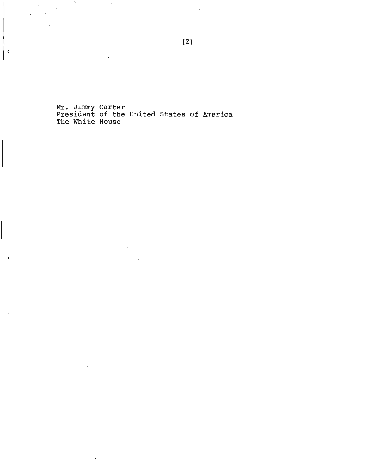Mr. Jimmy Carter<br>President of the United States of America<br>The White House

 $\bullet$  .

 $\sim 200$ 

 $\chi^2 \to \chi^2 \chi^2$ 

 $\overline{\phantom{a}}$ 

 $\mathbf{r}$ 

 $\mathcal{L}^{\mathcal{L}}$  ,

 $\overline{\phantom{a}}$ 

 $\overline{a}$ 

 $\mathfrak{c}$ 

 $\bullet$ 

 $\overline{a}$ 

 $\overline{\phantom{a}}$ 

 $\overline{a}$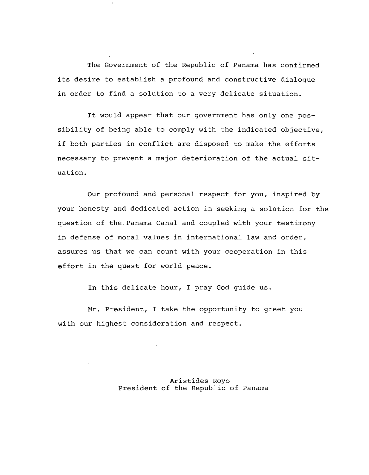The Government of the Republic of Panama has confirmed its desire to establish a profound and constructive dialogue in order to find a solution to a very delicate situation.

It would appear that our government has only one possibility of being able to comply with the indicated objective, if both parties in conflict are disposed to make the efforts necessary to prevent a major deterioration of the actual situation.

Our profound and personal respect for you, inspired by your honesty and dedicated action in seeking a solution for the question of the~Panama Canal and coupled with your testimony in defense of moral values in international law and order, assures us that we can count with your cooperation in this effort in the quest for world peace.

In this delicate hour, I pray God guide us.

Mr. President, I take the opportunity to greet you with our highest consideration and respect.

> Aristides Royo President of the Republic of Panama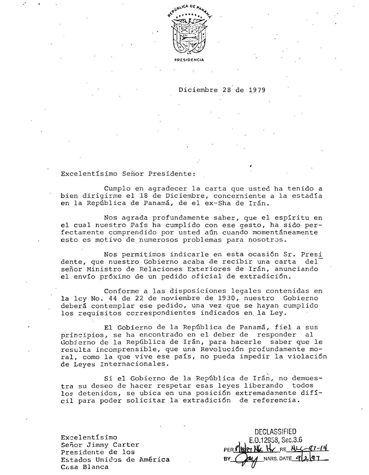

PRESIDEN

#### Diciembre 28 de 1979

*I*

Excelentlsimo Senor Presidente:

Cumplo en agradecer la carta que usted ha tenido a bien dirigirme el 18 de Diciembre, concerniente a la estadía en la República de Panamá, de el ex-Sha de Irán.

Nos agrada profundamente saber, que el esplritu en el cual nuestro Pals ha cumplido con ese gesto, ha sido perfectamente comprendido por usted aún cuando momentáneamente esto es motivo de numerosos problemas para nosotros.

Nos permitimos indicarle en esta ocasi6n Sr. Presi dente, que nuestro Gobierno acaba de recibir una carta del señor Ministro de Relaciones Exteriores de Irán, anunciando el envl0 pr6ximo de un pedido oficial de extradici6n.

Conforme alas disposiciones legales contenidas en la ley No. 44 de 22 de noviembre de 1930, nuestro Gobierno deberá contemplar ese pedido, una vez que se hayan cumplido los requisitos correspondientes indicados en la Ley.

El Gobierno de la República de Panamá, fiel a sus principios, se ha encontrado en el deber de responder al Gobierno de la República de Irán, para hacerle saber que le resulta incomprensible, que una Revoluci6n profundamente moral, como la que vive ese pals, no pueda impedir la violaci6n de Leyes Internacionales.

Si el Gobierno de la República de Irán, no demuestra su deseo de hacer respetar esas leyes liberando todos los detenidos, se ubica en una posición extremadamente difícil para poder solicitar la extradici6n de referencia.

Excelentisimo Senor Jimmy Carter Presidente de los Estados Unidos de América Casa Blanca

DECLASSIFIED E.O.12958, Sec.3.6 C H RE ALC-97-14 NARS. DATE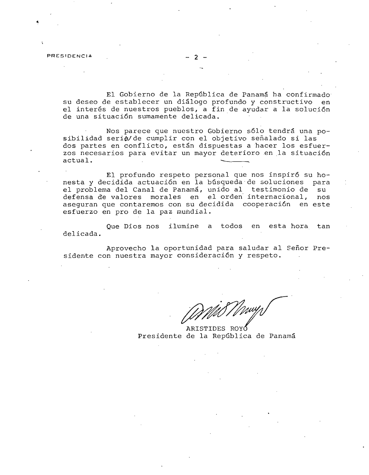PRESIDENCIA

~

El Gobierno de la República de Panamá ha confirmado su deseo de establecer un dialogo profundo y constructivo en el interés de nuestros pueblos, a fin de ayudar a la solución de una situaci6n sumamente delicada. .

Nos parece que nuestro Gobierno sólo tendrá una posibilidad serie/de cumplir con el objetivo señalado si las dos partes en conflicto, están dispuestas a hacer los esfuerzos necesarios para evitar un mayor deterioro en la situación actual.

El profundo respeto personal que nos inspir6 su honesta y decidida actuación en la búsqueda de soluciones para el problema del Canal de Panamá, unido al testimonio de su defensa de valores morales en el orden internacional, nos aseguran que contaremos consu decidida cooperaci6n en este esfuerzo en pro de la paz mundial.

Que Dios nos ilumine a todos en esta hora. tan delicada.

Aprovecho la oportunidad para saludar al Señor Presidente con nuestra mayor consideración y respeto.

Mið Mwy

ARISTIDES ROY Presidente de la República de Panamá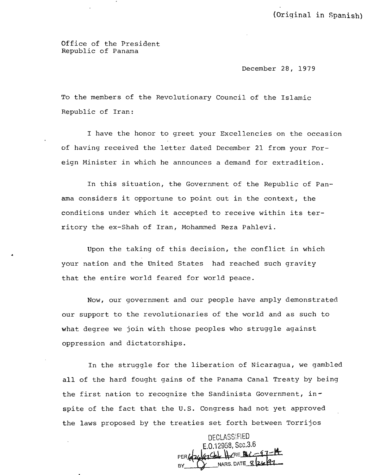(Original in Spanish)

Office of the President Republic of Panama

December 28, 1979

To the members of the Revolutionary Council of the Islamic Republic of Iran:

I have the honor to greet your Excellencies on the occasion of having received the letter dated December 21 from your Foreign Minister in which he announces a demand for extradition.

In this situation, the Government of the Republic of Panama considers it opportune to point out in the context, the conditions under which it accepted to receive within its territory the ex-Shah of Iran, Mohammed Reza Pahlevi.

Upon the taking of this decision, the conflict in which • your nation and the United States had reached such gravity that the entire world feared for world peace.

Now, our government and our people have amply demonstrated our support to the revolutionaries of the world and as such to what degree we join with those peoples who struggle against oppression and dictatorships.

In the struggle for the liberation of Nicaragua, we gambled all of the hard fought gains of the Panama Canal Treaty by being the first nation to recognize the Sandinista Government, inspite of the fact that the U.S. Congress had not yet approved the laws proposed by the treaties set forth between Torrijos

DECLASSIFIED E.O.12958, Sec.3.6  $47$ Ctal HARE PULL NARS. DATE 8/24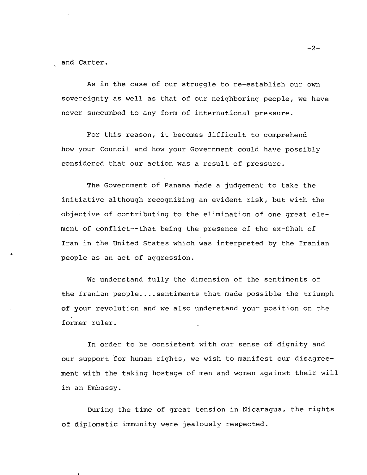and Carter.

•

As in the case of our struggle to re-establish our own sovereignty as well as that of our neighboring people, we have never succumbed to any form of international pressure.

For this reason, it becomes difficult to comprehend how your Council and how your Government could have possibly considered that our action was a result of pressure.

The Government of Panama made a judgement to take the initiative although recognizing an evident risk, but with the objective of contributing to the elimination of one great element of conflict--that being the presence of the ex-Shah of Iran in the united States which was interpreted by the Iranian people as an act of aggression.

We understand fully the dimension of the sentiments of the Iranian people ....sentiments that made possible the triumph of your revolution and we also understand your position on the former ruler.

In order to be consistent with our sense of dignity and our support for human rights, we wish to manifest our disagreement with the taking hostage of men and women against their will in an Embassy.

During the time of great tension in Nicaragua, the rights of diplomatic immunity were jealously respected.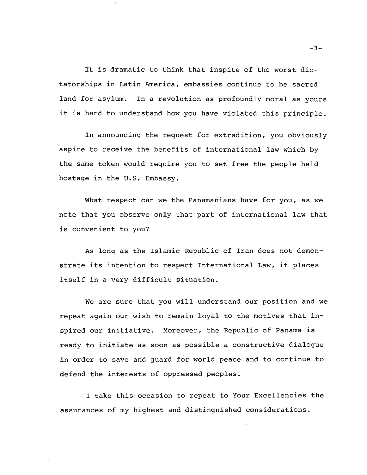It is dramatic to think that inspite of the worst dictatorships in Latin America, embassies continue to be sacred land for asylum. In a revolution as profoundly moral as yours it is hard to understand how you have violated this principle.

In announcing the request for extradition, you obviously aspire to receive the benefits of international law which by the same token would require you to set free the people held hostage in the U.S. Embassy.

What respect can we the Panamanians have for you, as we note that you observe only that part of international law that is convenient to you?

As long as the Islamic Republic of Iran does not demonstrate its intention to respect International Law, it places itself in a very difficult situation.

We are sure that you will understand our position and we repeat again our wish to remain loyal to the motives that inspired our initiative. Moreover, the Republic of Panama is ready to initiate as soon as possible a constructive dialogue in order to save and guard for world peace and to continue to defend the interests of oppressed peoples.

I take this occasion to repeat to Your Excellencies the assurances of my highest and distinguished considerations.

 $-3-$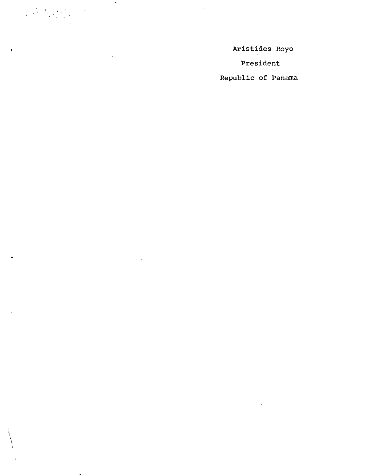Aristides Royo

 $\overline{\phantom{a}}$ 

 $\overline{a}$ 

 $\label{eq:2} \frac{1}{\sqrt{2}}\left(\frac{1}{2}\left(\frac{1}{2}\right)^2\right)^2\left(\frac{1}{2}\left(\frac{1}{2}\right)^2\right).$ 

 $\pmb{\epsilon}$ 

 $\blacktriangle$ 

President

Republic of Panama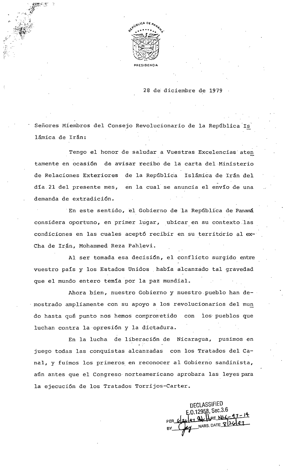

28 de diciembre de 1979

Señores Miembros del Consejo Revolucionario de la República Is lámica de Irán:

Tengo el honor de saludar a Vuestras Excelencias aten tamente en ocasión de avisar recibo de la carta del Ministerio de Relaciones Exteriores de la República Islámica de Irán del día 21 del presente mes, en la cual se anuncia el envío de una demanda de extradición.

En este sentido, el Gobierno de la República de Panamá considera oportuno, en primer lugar, ubicar en su contexto las condiciones en las cuales aceptó recibir en su territorio al ex-Cha de Irán, Mohammed Reza Pahlevi.

Al ser tomada esa decisión, el conflicto surgido entre vuestro país y los Estados Unidos había alcanzado tal gravedad que el mundo entero temía por la paz mundial.

Ahora bien, nuestro Gobierno y nuestro pueblo han demostrado ampliamente con su apoyo a los revolucionarios del mun do hasta qué punto nos hemos compronetido con los pueblos que luchan contra la opresión y la dictadura.

En la lucha de liberación de Nicaragua, pusimos en juego todas las conquistas alcanzadas con los Tratados del Canal, y fuimos los primeros en reconocer al Gobierno sandinista, aún antes que el Congreso norteamericano aprobara las leyes para la ejecución de los Tratados Torrijos-Carter.

DECLASSIFIED  $,0.12958,$  Sec.3.6 NARS. DATE 8/26/27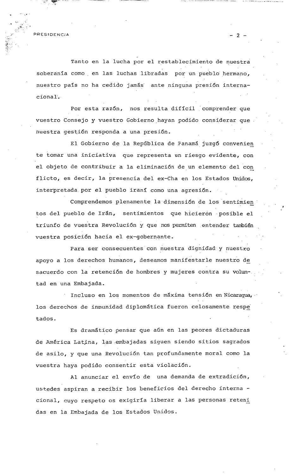PRESIDENCIA

Tanto en la lucha por el restablecimiento de nuestra soberanía como en las luchas libradas por un pueblo hermano, nuestro país no ha cedido jamás ante ninguna presión internacional.

2

Por esta razón, nos resulta difícil comprender que vuestro Consejo y vuestro Gobierno hayan podido considerar que nuestra gestión responda a una presión.

El Gobierno de la República de Panamá juzgó convenien te tomar una iniciativa que representa un riesgo evidente, con el objeto de contribuir a la eliminación de un elemento del con flicto, es decir, la presencia del ex-Cha en los Estados Unidos, interpretada por el pueblo iraní como una agresión.

Comprendemos plenamente la dimensión de los sentimien tos del pueblo de Irán, sentimientos que hicieron posible el triunfo de vuestra Revolución y que nos permiten entender también vuestra posición hacia el ex-gobernante.

Para ser consecuentes con nuestra dignidad y nuestro apoyo a los derechos humanos, deseamos manifestarle nuestro de sacuerdo con la retención de hombres y mujeres contra su voluntad en una Embajada.

Incluso en los momentos de máxima tensión en Nicaragua, los derechos de inmunidad diplomática fueron celosamente respe tados.

Es dramático pensar que aún en las peores dictaduras de América Latina, las embajadas siguen siendo sitios sagrados de asilo, y que una Revolución tan profundamente moral como la vuestra haya podido consentir esta violación.

Al anunciar el envío de una demanda de extradición, ustedes aspiran a recibir los beneficios del derecho interna cional, cuyo respeto os exigiría liberar a las personas reteni das en la Embajada de los Estados Unidos.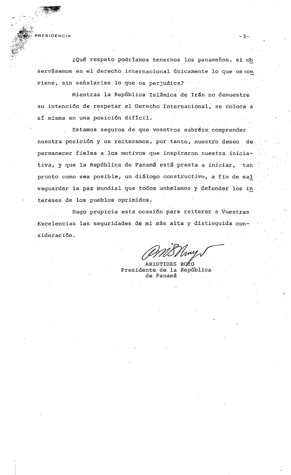RESIDENCIA

¿Qué respeto podríamos tenernos los panameños, si ob servásemos en el derecho internacional únicamente lo que os con viene, sin señalarles lo que os perjudica?

 $-3-$ 

Mientras la República Islámica de Irán no demuestre su intención de respetar el Derecho Internacional, se coloca a sí misma en una posición difícil.

Estamos seguros de que vosotros sabréis comprender nuestra posición y os reiteramos, por tanto, nuestro deseo de permanecer fieles a los motivos que inspiraron nuestra iniciativa, y que la República de Panamá está presta a iniciar, tan pronto como sea posible, un diálogo constructivo, a fin de sal vaquardar la paz mundial que todos anhelamos y defender los in tereses de los pueblos oprimidos.

Hago propicia esta ocasión para reiterar a Vuestras Excelencias las seguridades de mi más alta y distinguida consideración.

RISTIDES RO#O Presidente de la República de Panamá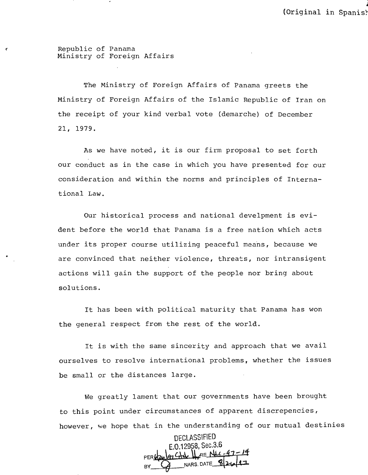(' Republic of Panama Ministry of Foreign Affairs

> The Ministry of Foreign Affairs of Panama greets the Ministry of Foreign Affairs of the Islamic Republic of Iran on the receipt of your kind verbal vote (demarche) of December 21, 1979.

> As we have noted, it is our firm proposal to set forth our conduct as in the case in which you have presented for our consideration and within the norms and principles of Internationa1 Law.

> Our historical process and national deve1pment is evident before the world that Panama is a free nation which acts under its proper course utilizing peaceful means, because we are convinced that neither violence, threats, nor intransigent actions will gain the support of the people nor bring about solutions.

It has been with political maturity that Panama has won the general respect from the rest of the world.

It is with the same sincerity and approach that we avail ourselves to resolve international problems, whether the issues be small or the distances large.

We greatly lament that our governments have been brought to this point under circumstances of apparent discrepencies, however, we hope that in the understanding of our mutual destinies

DECLASSIFIED E.0.12958, Sec.3.6<br><u>47 CHd</u> | RENU-47 - 14 PER 62% 47 CH & HIPPE NUL-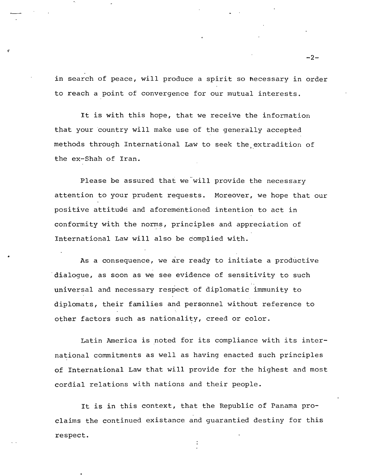in search of peace, will produce a spirit so hecessary in order to reach a point of convergence for our mutual interests.

 $\mathbf r$ 

It is with this hope, that we receive the information that your country will make use of the generally accepted methods through International Law to seek the extradition of the ex-Shah of Iran.

Please be assured that we will provide the necessary attention to your prudent requests. Moreover, we hope that our positive attitude and aforementioned intention to act in conformity with the norms, principles and appreciation of International Law will also be complied with.

As a consequence, we are ready to initiate a productive dialogue, as soon as we see evidence of sensitivity to such universal and necessary respect of diplomatic immunity to diplomats, their families and personnel without reference to other factors such as nationality, creed or color.

Latin America is noted for its compliance with its international commitments as well as having enacted such principles of International Law that will provide for the highest and most cordial relations with nations and their people.

It is in this context, that the Republic of Panama proclaims the continued existance and guarantied destiny for this respect.

 $-2-$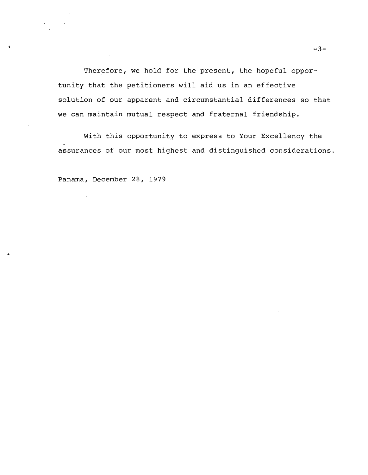Therefore, we hold for the present, the hopeful opportunity that the petitioners will aid us in an effective solution of our apparent and circumstantial differences so that we can maintain mutual respect and fraternal friendship.

With this opportunity to express to Your Excellency the assurances of our most highest and distinguished considerations.

Panama, December 28, 1979

 $\bar{z}$ 

•

 $\epsilon$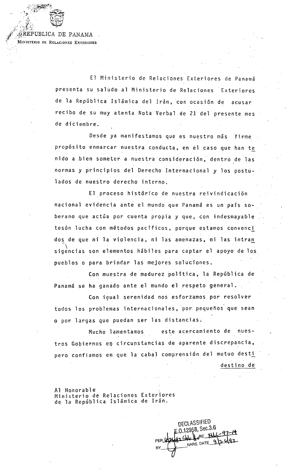REPUBLICA DE PANAMA MINISTERIO DE RELACIONES EXTERIORES

> El Ministerio de Relaciones Exteriores de Panamá presenta su saludo al Ministerio de Relaciones Exteriores de la República Islámica del Irán, con ocasión de acusar recibo de su muy atenta Nota Verbal de 21 del presente mes de diciembre.

> Desde ya manifestamos que es nuestro más firme propósito enmarcar nuestra conducta, en el caso que han te nido a bien someter a nuestra consideración, dentro de las normas y principios del Derecho Internacional y los postulados de nuestro derecho interno.

> El proceso histórico de nuestra reivindicación nacional evidencia ante el mundo que Panamá es un país soberano que actúa por cuenta propia y que, con indesmayable tesón lucha con métodos pacíficos, porque estamos convenci dos de que ni la violencia, ni las amenazas, ni las intran sigencias son elementos hábiles para captar el apoyo de los pueblos o para brindar las mejores soluciones.

Con muestra de madurez política, la República de Panamá se ha ganado ante el mundo el respeto general.

Con igual serenidad nos esforzamos por resolver todos los problemas internacionales, por pequeños que sean o por largas que puedan ser las distancias.

este acercamiento de nues-Mucho lamentamos tros Gobiernos en circunstancias de aparente discrepancia, pero confiamos en que la cabal comprensión del mutuo desti destino de

Al Honorable Ministerio de Relaciones Exteriores de la República Islámica de Irán.

DECLASSIFIED  $1.0.12958,$  Sec.3.6 RE NL-97-14 r Soledd PER NARS DATE 3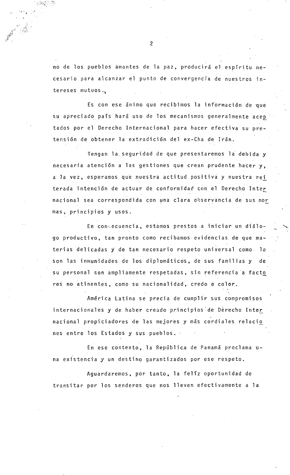no de los pueblos amantes de la paz, producirá el espíritu necesario para alcanzar el punto de convergencia de nuestros intereses mutuos.

Es con ese ánimo que recibimos la información de que su apreciado país hará uso de los mecanismos generalmente acep tados por el Derecho Internacional para hacer efectiva su pretensión de obtener la extradición del ex-Cha de Irán.

Tengan la seguridad de que presentaremos la debida y necesaria atención a las gestiones que crean prudente hacer y, a la vez, esperamos que nuestra actitud positiva y nuestra rei terada intención de actuar de conformidad con el Derecho Inter nacional sea correspondida con una clara observancia de sus nor mas, principios y usos.

En consecuencia, estamos prestos a iniciar un diálogo productivo, tan pronto como recibamos evidencias de que materias delicadas y de tan necesario respeto universal como lo son las inmunidades de los diplomáticos, de sus familias y de su personal son ampliamente respetadas, sin referencia a facto res no atinentes, como su nacionalidad, credo o color.

América Latina se precia de cumplir sus compromisos internacionales y de haber creado principios de Derecho Inter nacional propiciadores de las mejores y más cordiales relacio nes entre los Estados y sus pueblos.

En ese contexto, la República de Panamá proclama una existencia y un destino garantizados por ese respeto.

Aguardaremos, por tanto, la felíz oportunidad de transitar por los senderos que nos lleven efectivamente a la

 $\overline{2}$